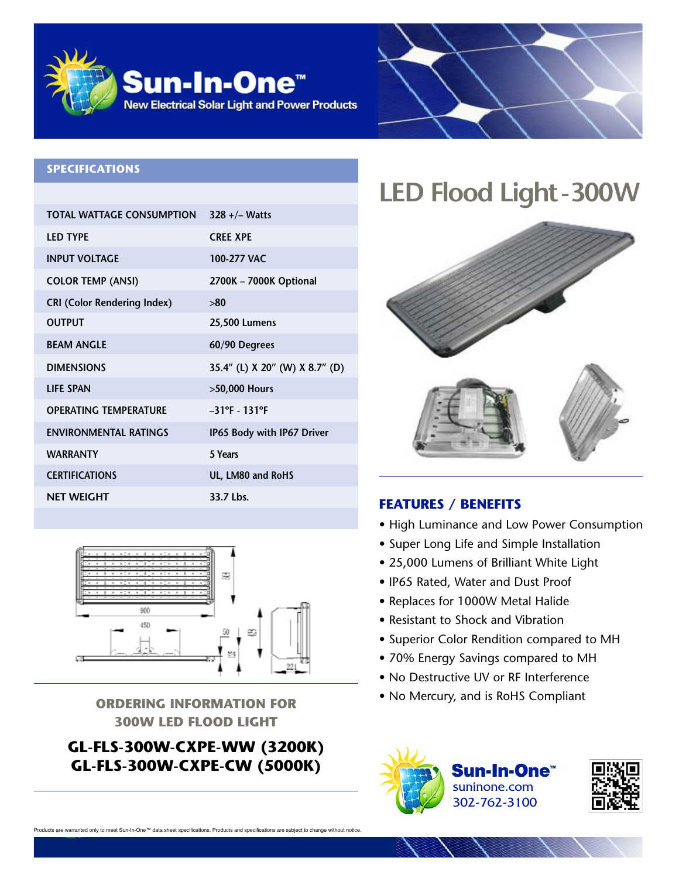

#### **SPECIFICATIONS**

| <b>TOTAL WATTAGE CONSUMPTION</b>   | $328 + / -$ Watts              |
|------------------------------------|--------------------------------|
| <b>LED TYPE</b>                    | <b>CRFF XPF</b>                |
| <b>INPUT VOLTAGE</b>               | 100-277 VAC                    |
| <b>COLOR TEMP (ANSI)</b>           | 2700K - 7000K Optional         |
| <b>CRI (Color Rendering Index)</b> | >80                            |
| <b>OUTPUT</b>                      | 25,500 Lumens                  |
| <b>BEAM ANGLE</b>                  | 60/90 Degrees                  |
| <b>DIMENSIONS</b>                  | 35.4" (L) X 20" (W) X 8.7" (D) |
| <b>LIFE SPAN</b>                   | >50,000 Hours                  |
| <b>OPERATING TEMPERATURE</b>       | $-31^{\circ}F - 131^{\circ}F$  |
| <b>ENVIRONMENTAL RATINGS</b>       | IP65 Body with IP67 Driver     |
| <b>WARRANTY</b>                    | 5 Years                        |
| <b>CERTIFICATIONS</b>              | UL, LM80 and RoHS              |
| <b>NET WEIGHT</b>                  | 33.7 Lbs.                      |



# **300W LED FLOOD LIGHT**

### **GL-FLS-300W-CXPE-WW (3200K) GL-FLS-300W-CXPE-CW (5000K)**

## **LED** Flood Light-300W



### **FEATURES / BENEFITS**

- High Luminance and Low Power Consumption
- Super Long Life and Simple Installation
- 25,000 Lumens of Brilliant White Light
- IP65 Rated, Water and Dust Proof
- Replaces for 1000W Metal Halide
- Resistant to Shock and Vibration
- Superior Color Rendition compared to MH
- 70% Energy Savings compared to MH
- No Destructive UV or RF Interference
- No Mercury, and is RoHS Compliant **ORDERING INFORMATION FOR**





are warranted only to meet Sun-In-One™ data sheet specifications. Products and specifications are subject to change without notice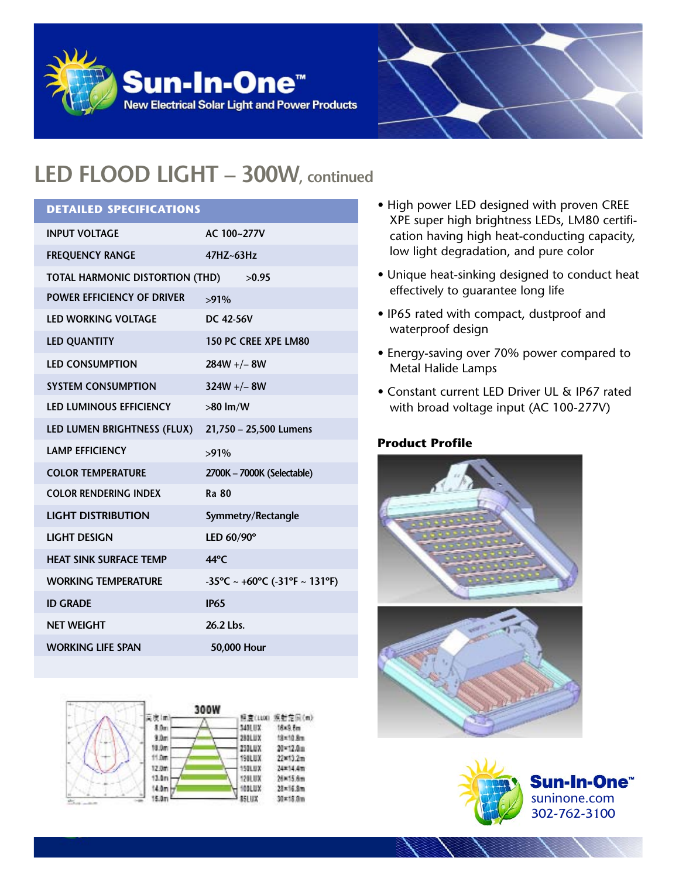



### **LED FLOOD LIGHT – 300W, continued**

### **DETAILED SPECIFICATIONS**

| <b>INPUT VOLTAGE</b>                  | AC 100~277V                                                              |
|---------------------------------------|--------------------------------------------------------------------------|
| <b>FREQUENCY RANGE</b>                | $47HZ - 63HZ$                                                            |
| TOTAL HARMONIC DISTORTION (THD) >0.95 |                                                                          |
| <b>POWER EFFICIENCY OF DRIVER</b>     | $>91\%$                                                                  |
| <b>LED WORKING VOLTAGE</b>            | DC 42-56V                                                                |
| <b>LED QUANTITY</b>                   | <b>150 PC CREE XPE LM80</b>                                              |
| <b>LED CONSUMPTION</b>                | $284W +/- 8W$                                                            |
| <b>SYSTEM CONSUMPTION</b>             | $324W + - 8W$                                                            |
| <b>LED LUMINOUS EFFICIENCY</b>        | $>80$ lm/W                                                               |
| LED LUMEN BRIGHTNESS (FLUX)           | 21,750 - 25,500 Lumens                                                   |
| <b>LAMP EFFICIENCY</b>                | $>91\%$                                                                  |
| <b>COLOR TEMPERATURE</b>              | 2700K - 7000K (Selectable)                                               |
| <b>COLOR RENDERING INDEX</b>          | <b>Ra 80</b>                                                             |
| <b>LIGHT DISTRIBUTION</b>             | Symmetry/Rectangle                                                       |
| <b>LIGHT DESIGN</b>                   | LED 60/90°                                                               |
| <b>HEAT SINK SURFACE TEMP</b>         | $44^{\circ}$ C                                                           |
| <b>WORKING TEMPERATURE</b>            | $-35^{\circ}$ C ~ +60 $^{\circ}$ C (-31 $^{\circ}$ F ~ 131 $^{\circ}$ F) |
| <b>ID GRADE</b>                       | <b>IP65</b>                                                              |
| <b>NET WEIGHT</b>                     | 26.2 Lbs.                                                                |
| <b>WORKING LIFE SPAN</b>              | 50,000 Hour                                                              |
|                                       |                                                                          |



- High power LED designed with proven CREE XPE super high brightness LEDs, LM80 certification having high heat-conducting capacity, low light degradation, and pure color
- Unique heat-sinking designed to conduct heat effectively to guarantee long life
- IP65 rated with compact, dustproof and waterproof design
- Energy-saving over 70% power compared to Metal Halide Lamps
- Constant current LED Driver UL & IP67 rated with broad voltage input (AC 100-277V)

#### **Product Profile**



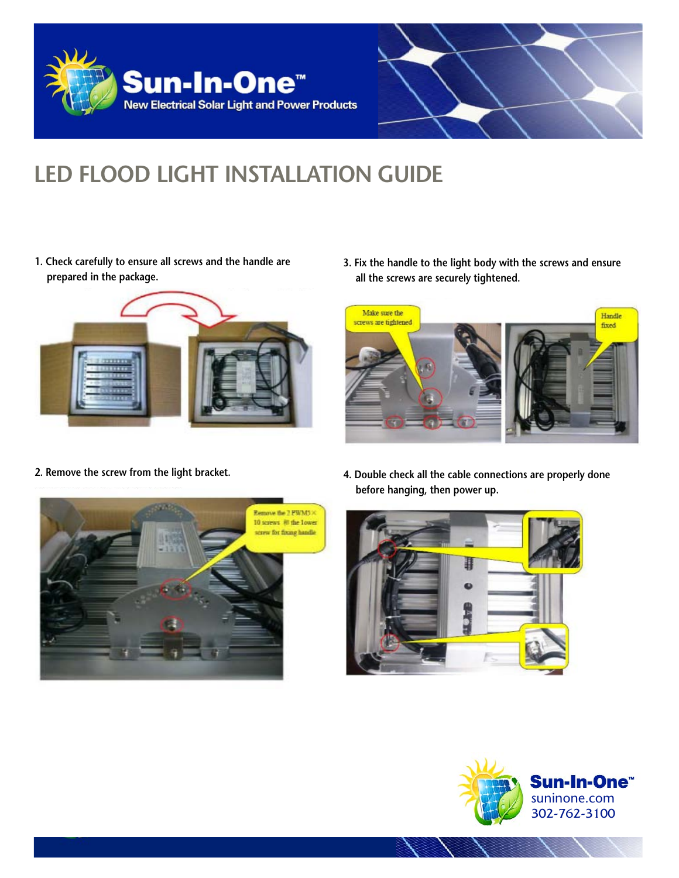



### **LED FLOOD LIGHT INSTALLATION GUIDE**

**1. Check carefully to ensure all screws and the handle are prepared in the package.**



**3. Fix the handle to the light body with the screws and ensure all the screws are securely tightened.**



**2. Remove the screw from the light bracket.**



**4. Double check all the cable connections are properly done before hanging, then power up.**